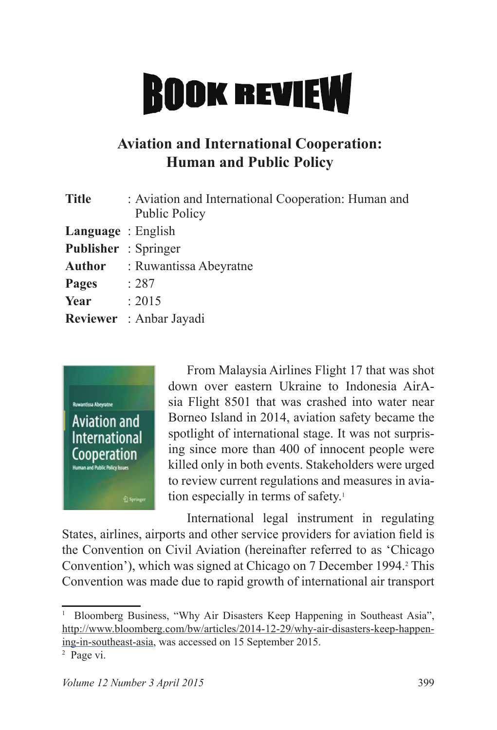## **BOOK REVIEW**

## **Aviation and International Cooperation: Human and Public Policy**

| <b>Title</b>                | : Aviation and International Cooperation: Human and<br><b>Public Policy</b> |
|-----------------------------|-----------------------------------------------------------------------------|
| Language: English           |                                                                             |
| <b>Publisher</b> : Springer |                                                                             |
|                             | <b>Author</b> : Ruwantissa Abeyratne                                        |
| Pages                       | : 287                                                                       |
| Year                        | : 2015                                                                      |
|                             | Reviewer : Anbar Jayadi                                                     |



From Malaysia Airlines Flight 17 that was shot down over eastern Ukraine to Indonesia AirAsia Flight 8501 that was crashed into water near Borneo Island in 2014, aviation safety became the spotlight of international stage. It was not surprising since more than 400 of innocent people were killed only in both events. Stakeholders were urged to review current regulations and measures in aviation especially in terms of safety.<sup>1</sup>

International legal instrument in regulating States, airlines, airports and other service providers for aviation field is the Convention on Civil Aviation (hereinafter referred to as 'Chicago Convention'), which was signed at Chicago on 7 December 1994. This Convention was made due to rapid growth of international air transport

<sup>&</sup>lt;sup>1</sup> Bloomberg Business, "Why Air Disasters Keep Happening in Southeast Asia", http://www.bloomberg.com/bw/articles/2014-12-29/why-air-disasters-keep-happening-in-southeast-asia, was accessed on 15 September 2015.

<sup>&</sup>lt;sup>2</sup> Page vi.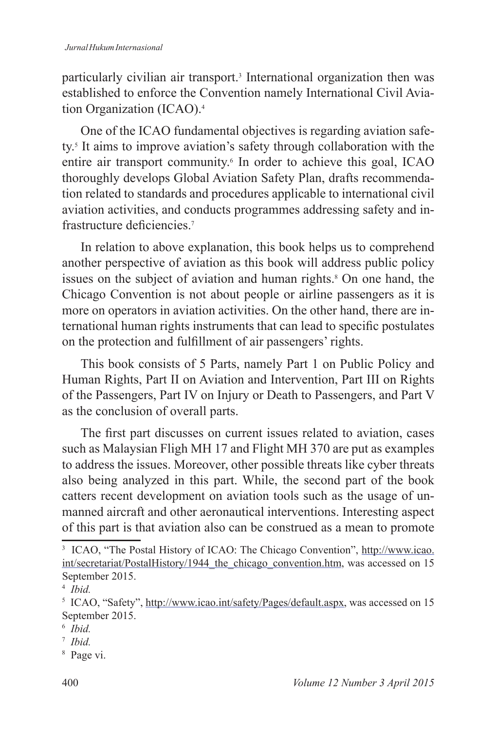## *Jurnal Hukum Internasional*

particularly civilian air transport.<sup>3</sup> International organization then was established to enforce the Convention namely International Civil Aviation Organization (ICAO).<sup>4</sup>

One of the ICAO fundamental objectives is regarding aviation safety. It aims to improve aviation's safety through collaboration with the entire air transport community.<sup>6</sup> In order to achieve this goal, ICAO thoroughly develops Global Aviation Safety Plan, drafts recommendation related to standards and procedures applicable to international civil aviation activities, and conducts programmes addressing safety and infrastructure deficiencies<sup>7</sup>

In relation to above explanation, this book helps us to comprehend another perspective of aviation as this book will address public policy issues on the subject of aviation and human rights. On one hand, the Chicago Convention is not about people or airline passengers as it is more on operators in aviation activities. On the other hand, there are international human rights instruments that can lead to specific postulates on the protection and fulfillment of air passengers' rights.

This book consists of 5 Parts, namely Part 1 on Public Policy and Human Rights, Part II on Aviation and Intervention, Part III on Rights of the Passengers, Part IV on Injury or Death to Passengers, and Part V as the conclusion of overall parts.

The first part discusses on current issues related to aviation, cases such as Malaysian Fligh MH 17 and Flight MH 370 are put as examples to address the issues. Moreover, other possible threats like cyber threats also being analyzed in this part. While, the second part of the book catters recent development on aviation tools such as the usage of unmanned aircraft and other aeronautical interventions. Interesting aspect of this part is that aviation also can be construed as a mean to promote

<sup>&</sup>lt;sup>3</sup> ICAO, "The Postal History of ICAO: The Chicago Convention", http://www.icao.  $int/\text{secretariat/PostalHistory}/1944$  the chicago convention.htm, was accessed on 15 September 2015.

<sup>4</sup> *Ibid.*

<sup>&</sup>lt;sup>5</sup> ICAO, "Safety", http://www.icao.int/safety/Pages/default.aspx, was accessed on 15 September 2015.

 *Ibid.*

<sup>7</sup> *Ibid.*

 Page vi.